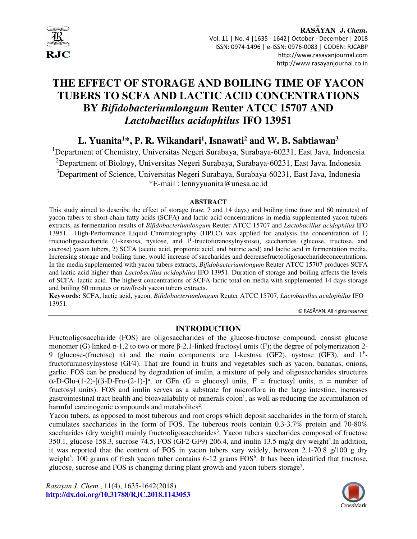

# **THE EFFECT OF STORAGE AND BOILING TIME OF YACON TUBERS TO SCFA AND LACTIC ACID CONCENTRATIONS BY** *Bifidobacteriumlongum* **Reuter ATCC 15707 AND** *Lactobacillus acidophilus* **IFO 13951**

# **L. Yuanita<sup>1</sup>\*, P. R. Wikandari<sup>1</sup> , Isnawati<sup>2</sup> and W. B. Sabtiawan<sup>3</sup>**

<sup>1</sup>Department of Chemistry, Universitas Negeri Surabaya, Surabaya-60231, East Java, Indonesia <sup>2</sup>Department of Biology, Universitas Negeri Surabaya, Surabaya-60231, East Java, Indonesia <sup>3</sup>Department of Science, Universitas Negeri Surabaya, Surabaya-60231, East Java, Indonesia \*E-mail : lennyyuanita@unesa.ac.id

#### **ABSTRACT**

This study aimed to describe the effect of storage (raw, 7 and 14 days) and boiling time (raw and 60 minutes) of yacon tubers to short-chain fatty acids (SCFA) and lactic acid concentrations in media supplemented yacon tubers extracts, as fermentation results of *Bifidobacteriumlongum* Reuter ATCC 15707 and *Lactobacillus acidophilus* IFO 13951. High-Performance Liquid Chromatography (HPLC) was applied for analysis the concentration of 1) fructooligosaccharide (1-kestosa, nystose, and  $1<sup>F</sup>$ -fructofuranosylnystose), saccharides (glucose, fructose, and sucrose) yacon tubers, 2) SCFA (acetic acid, propionic acid, and butiric acid) and lactic acid in fermentation media. Increasing storage and boiling time, would increase of saccharides and decreasefructooligosaccharideconcentrations. In the media supplemented with yacon tubers extracts, *Bifidobacteriumlongum* Reuter ATCC 15707 produces SCFA and lactic acid higher than *Lactobacillus acidophilus* IFO 13951. Duration of storage and boiling affects the levels of SCFA- lactic acid. The highest concentrations of SCFA-lactic total on media with supplemented 14 days storage and boiling 60 minutes or raw/fresh yacon tubers extracts.

**Keywords:** SCFA, lactic acid, yacon, *Bifidobacteriumlongum* Reuter ATCC 15707, *Lactobacillus acidophilus* IFO 13951.

© RASĀYAN. All rights reserved

# **INTRODUCTION**

Fructooligosaccharide (FOS) are oligosaccharides of the glucose-fructose compound, consist glucose monomer (G) linked  $\alpha$ -1,2 to two or more  $\beta$ -2,1-linked fructosyl units (F); the degree of polymerization 2-9 (glucose-(fructose) n) and the main components are 1-kestosa (GF2), nystose (GF3), and  $1<sup>F</sup>$ fructofuranosylnystose (GF4). That are found in fruits and vegetables such as yacon, bananas, onions, garlic. FOS can be produced by degradation of inulin, a mixture of poly and oligosaccharides structures  $\alpha$ -D-Glu-(1-2)-[(β-D-Fru-(2-1)-]<sup>n</sup>, or GFn (G = glucosyl units, F = fructosyl units, n = number of fructosyl units). FOS and inulin serves as a substrate for microflora in the large intestine, increases gastrointestinal tract health and bioavailability of minerals  $\text{colon}$ , as well as reducing the accumulation of harmful carcinogenic compounds and metabolites<sup>2</sup>.

Yacon tubers, as opposed to most tuberous and root crops which deposit saccharides in the form of starch, cumulates saccharides in the form of FOS. The tuberous roots contain 0.3-3.7% protein and 70-80% saccharides (dry weight) mainly fructooligosaccharides<sup>3</sup>. Yacon tubers saccharides composed of fructose 350.1, glucose 158.3, sucrose 74.5, FOS (GF2-GF9) 206.4, and inulin 13.5 mg/g dry weight<sup>4</sup>. In addition, it was reported that the content of FOS in yacon tubers vary widely, between 2.1-70.8 g/100 g dry weight<sup>5</sup>; 100 grams of fresh yacon tuber contains  $6-12$  grams  $FOS<sup>6</sup>$ . It has been identified that fructose, glucose, sucrose and FOS is changing during plant growth and yacon tubers storage<sup>7</sup>.

*Rasayan J. Chem*., 11(4), 1635-1642(2018) **http://dx.doi.org/10.31788/RJC.2018.1143053**

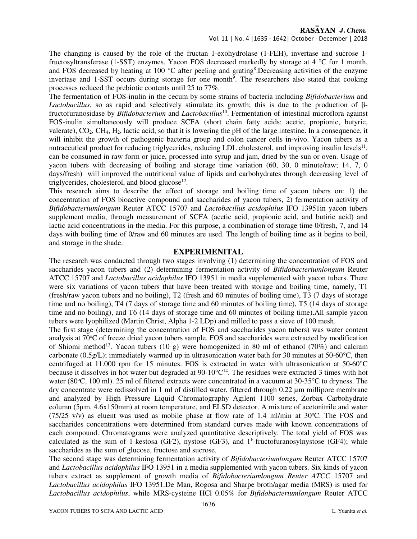The changing is caused by the role of the fructan 1-exohydrolase (1-FEH), invertase and sucrose 1 fructosyltransferase (1-SST) enzymes. Yacon FOS decreased markedly by storage at 4 °C for 1 month, and FOS decreased by heating at 100 °C after peeling and grating<sup>8</sup>. Decreasing activities of the enzyme invertase and 1-SST occurs during storage for one month<sup>9</sup>. The researchers also stated that cooking processes reduced the prebiotic contents until 25 to 77%.

The fermentation of FOS-inulin in the cecum by some strains of bacteria including *Bifidobacterium* and *Lactobacillus*, so as rapid and selectively stimulate its growth; this is due to the production of βfructofuranosidase by *Bifidobacterium* and *Lactobacillus*<sup>10</sup>. Fermentation of intestinal microflora against FOS-inulin simultaneously will produce SCFA (short chain fatty acids: acetic, propionic, butyric, valerate),  $CO_2$ , CH<sub>4</sub>, H<sub>2</sub>, lactic acid, so that it is lowering the pH of the large intestine. In a consequence, it will inhibit the growth of pathogenic bacteria group and colon cancer cells in-vivo. Yacon tubers as a nutraceutical product for reducing triglycerides, reducing LDL cholesterol, and improving insulin levels<sup>11</sup>, can be consumed in raw form or juice, processed into syrup and jam, dried by the sun or oven. Usage of yacon tubers with decreasing of boiling and storage time variation (60, 30, 0 minute/raw; 14, 7, 0 days/fresh) will improved the nutritional value of lipids and carbohydrates through decreasing level of triglycerides, cholesterol, and blood glucose<sup>12</sup>.

This research aims to describe the effect of storage and boiling time of yacon tubers on: 1) the concentration of FOS bioactive compound and saccharides of yacon tubers, 2) fermentation activity of *Bifidobacteriumlongum* Reuter ATCC 15707 and *Lactobacillus acidophilus* IFO 13951in yacon tubers supplement media, through measurement of SCFA (acetic acid, propionic acid, and butiric acid) and lactic acid concentrations in the media. For this purpose, a combination of storage time 0/fresh, 7, and 14 days with boiling time of 0/raw and 60 minutes are used. The length of boiling time as it begins to boil, and storage in the shade.

#### **EXPERIMENITAL**

The research was conducted through two stages involving (1) determining the concentration of FOS and saccharides yacon tubers and (2) determining fermentation activity of *Bifidobacteriumlongum* Reuter ATCC 15707 and *Lactobacillus acidophilus* IFO 13951 in media supplemented with yacon tubers. There were six variations of yacon tubers that have been treated with storage and boiling time, namely, T1 (fresh/raw yacon tubers and no boiling), T2 (fresh and 60 minutes of boiling time), T3 (7 days of storage time and no boiling), T4 (7 days of storage time and 60 minutes of boiling time), T5 (14 days of storage time and no boiling), and T6 (14 days of storage time and 60 minutes of boiling time).All sample yacon tubers were lyophilized (Martin Christ, Alpha 1-2 LDp) and milled to pass a sieve of 100 mesh.

The first stage (determining the concentration of FOS and saccharides yacon tubers) was water content analysis at 70<sup>o</sup>C of freeze dried yacon tubers sample. FOS and saccharides were extracted by modification of Shiomi method<sup>13</sup>. Yacon tubers (10 g) were homogenized in 80 ml of ethanol (70%) and calcium carbonate (0.5g/L); immediately warmed up in ultrasonication water bath for 30 minutes at 50-60 $^{\circ}$ C, then centrifuged at 11.000 rpm for 15 minutes. FOS is extracted in water with ultrasonication at 50-60°C because it dissolves in hot water but degraded at  $90-10^{\circ}C^{14}$ . The residues were extracted 3 times with hot water (80°C, 100 ml). 25 ml of filtered extracts were concentrated in a vacuum at 30-35°C to dryness. The dry concentrate were redissolved in 1 ml of distilled water, filtered through 0.22 µm millipore membrane and analyzed by High Pressure Liquid Chromatography Agilent 1100 series, Zorbax Carbohydrate column (5µm, 4.6x150mm) at room temperature, and ELSD detector. A mixture of acetonitrile and water (75/25 v/v) as eluent was used as mobile phase at flow rate of 1.4 ml/min at 30 $^{\circ}$ C. The FOS and saccharides concentrations were determined from standard curves made with known concentrations of each compound. Chromatograms were analyzed quantitative descriptively. The total yield of FOS was calculated as the sum of 1-kestosa (GF2), nystose (GF3), and  $1<sup>F</sup>$ -fructofuranosylnystose (GF4); while saccharides as the sum of glucose, fructose and sucrose.

The second stage was determining fermentation activity of *Bifidobacteriumlongum* Reuter ATCC 15707 and *Lactobacillus acidophilus* IFO 13951 in a media supplemented with yacon tubers. Six kinds of yacon tubers extract as supplement of growth media of *Bifidobacteriumlongum Reuter ATCC* 15707 and *Lactobacillus acidophilus* IFO 13951*.*De Man, Rogosa and Sharpe broth/agar media (MRS) is used for *Lactobacillus acidophilus*, while MRS-cysteine HCl 0.05% for *Bifidobacteriumlongum* Reuter ATCC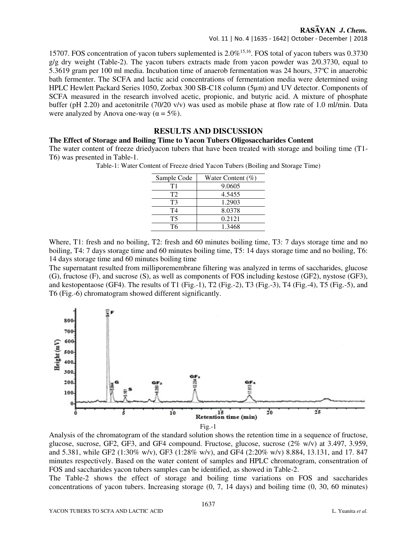Vol. 11 | No. 4 |1635 - 1642| October - December | 2018

15707. FOS concentration of yacon tubers suplemented is  $2.0\%$ <sup>15,16</sup>. FOS total of yacon tubers was 0.3730  $g/g$  dry weight (Table-2). The yacon tubers extracts made from yacon powder was  $2/0.3730$ , equal to 5.3619 gram per 100 ml media. Incubation time of anaerob fermentation was 24 hours,  $37^{\circ}$ C in anaerobic bath fermenter. The SCFA and lactic acid concentrations of fermentation media were determined using HPLC Hewlett Packard Series 1050, Zorbax 300 SB-C18 column (5µm) and UV detector. Components of SCFA measured in the research involved acetic, propionic, and butyric acid. A mixture of phosphate buffer (pH 2.20) and acetonitrile (70/20 v/v) was used as mobile phase at flow rate of 1.0 ml/min. Data were analyzed by Anova one-way ( $\alpha = 5\%$ ).

#### **RESULTS AND DISCUSSION**

#### **The Effect of Storage and Boiling Time to Yacon Tubers Oligosaccharides Content**

The water content of freeze driedyacon tubers that have been treated with storage and boiling time (T1- T6) was presented in Table-1.

Table-1: Water Content of Freeze dried Yacon Tubers (Boiling and Storage Time)

| Sample Code    | Water Content $(\% )$ |
|----------------|-----------------------|
| Τ1             | 9.0605                |
| T <sub>2</sub> | 4.5455                |
| T3             | 1.2903                |
| T4             | 8.0378                |
| T5             | 0.2121                |
| T6             | 1.3468                |

Where, T1: fresh and no boiling, T2: fresh and 60 minutes boiling time, T3: 7 days storage time and no boiling, T4: 7 days storage time and 60 minutes boiling time, T5: 14 days storage time and no boiling, T6: 14 days storage time and 60 minutes boiling time

The supernatant resulted from milliporemembrane filtering was analyzed in terms of saccharides, glucose (G), fructose (F), and sucrose (S), as well as components of FOS including kestose (GF2), nystose (GF3), and kestopentaose (GF4). The results of T1 (Fig.-1), T2 (Fig.-2), T3 (Fig.-3), T4 (Fig.-4), T5 (Fig.-5), and T6 (Fig.-6) chromatogram showed different significantly.



Analysis of the chromatogram of the standard solution shows the retention time in a sequence of fructose, glucose, sucrose, GF2, GF3, and GF4 compound. Fructose, glucose, sucrose (2% w/v) at 3.497, 3.959, and 5.381, while GF2 (1:30% w/v), GF3 (1:28% w/v), and GF4 (2:20% w/v) 8.884, 13.131, and 17. 847 minutes respectively. Based on the water content of samples and HPLC chromatogram, consentration of FOS and saccharides yacon tubers samples can be identified, as showed in Table-2.

The Table-2 shows the effect of storage and boiling time variations on FOS and saccharides concentrations of yacon tubers. Increasing storage (0, 7, 14 days) and boiling time (0, 30, 60 minutes)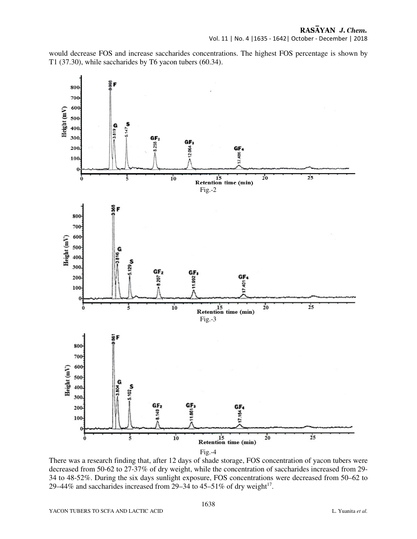would decrease FOS and increase saccharides concentrations. The highest FOS percentage is shown by T1 (37.30), while saccharides by T6 yacon tubers (60.34).



There was a research finding that, after 12 days of shade storage, FOS concentration of yacon tubers were decreased from 50-62 to 27-37% of dry weight, while the concentration of saccharides increased from 29- 34 to 48-52%. During the six days sunlight exposure, FOS concentrations were decreased from 50–62 to 29–44% and saccharides increased from 29–34 to 45–51% of dry weight<sup>17</sup>.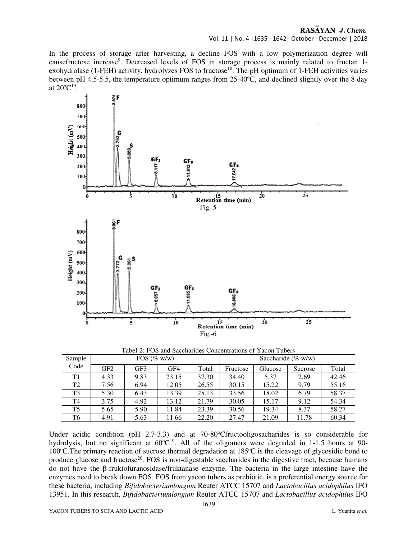Vol. 11 | No. 4 |1635 - 1642| October - December | 2018

In the process of storage after harvesting, a decline FOS with a low polymerization degree will causefructose increase<sup>9</sup>. Decreased levels of FOS in storage process is mainly related to fructan 1exohydrolase (1-FEH) activity, hydrolyzes FOS to fructose<sup>18</sup>. The pH optimum of 1-FEH activities varies between pH 4.5-5.5, the temperature optimum ranges from  $25{\text -}40^{\circ}\text{C}$ , and declined slightly over the 8 day at  $20^{\circ}C^{19}$ .



| Sample         | FOS $(\% w/w)$ |      |       |       | Saccharide (% $w/w$ ) |         |         |       |
|----------------|----------------|------|-------|-------|-----------------------|---------|---------|-------|
| Code           | GF2            | GF3  | GF4   | Total | Fructose              | Glucose | Sucrose | Total |
| T1             | 4.33           | 9.83 | 23.15 | 37.30 | 34.40                 | 5.37    | 2.69    | 42.46 |
| T <sub>2</sub> | 7.56           | 6.94 | 12.05 | 26.55 | 30.15                 | 15.22   | 9.79    | 55.16 |
| T <sub>3</sub> | 5.30           | 6.43 | 13.39 | 25.13 | 33.56                 | 18.02   | 6.79    | 58.37 |
| T4             | 3.75           | 4.92 | 13.12 | 21.79 | 30.05                 | 15.17   | 9.12    | 54.34 |
| T5             | 5.65           | 5.90 | 11.84 | 23.39 | 30.56                 | 19.34   | 8.37    | 58.27 |
| T6             | 4.91           | 5.63 | 11.66 | 22.20 | 27.47                 | 21.09   | 11.78   | 60.34 |

Under acidic condition (pH  $2.7-3.3$ ) and at 70-80°Cfructooligosacharides is so considerable for hydrolysis, but no significant at  $60^{\circ}C^{19}$ . All of the oligomers were degraded in 1-1.5 hours at 90-100°C. The primary reaction of sucrose thermal degradation at 185°C is the cleavage of glycosidic bond to produce glucose and fructose<sup>20</sup>. FOS is non-digestable saccharides in the digestive tract, because humans do not have the β-fruktofuranosidase/fruktanase enzyme. The bacteria in the large intestine have the enzymes need to break down FOS. FOS from yacon tubers as prebiotic, is a preferential energy source for these bacteria, including *Bifidobacteriumlongum* Reuter ATCC 15707 and *Lactobacillus acidophilus* IFO 13951*.* In this research, *Bifidobacteriumlongum* Reuter ATCC 15707 and *Lactobacillus acidophilus* IFO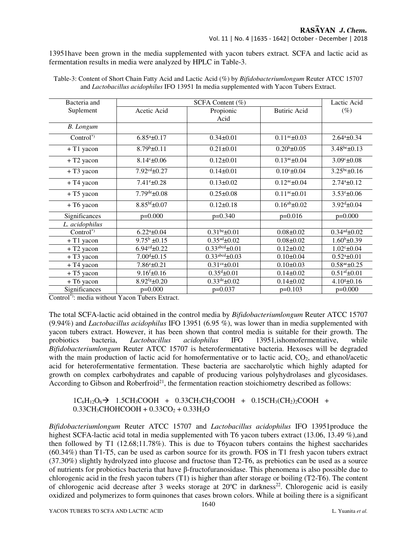13951have been grown in the media supplemented with yacon tubers extract*.* SCFA and lactic acid as fermentation results in media were analyzed by HPLC in Table-3.

| Bacteria and           | SCFA Content (%)                |                                   |                            |                                 |  |
|------------------------|---------------------------------|-----------------------------------|----------------------------|---------------------------------|--|
| Suplement              | Acetic Acid                     | Propionic<br>Acid                 | <b>Butiric Acid</b>        | $(\%)$                          |  |
| <b>B.</b> Longum       |                                 |                                   |                            |                                 |  |
| $Control^*$            | $6.85^a \pm 0.17$               | $0.34\pm0.01$                     | $0.11^{\text{ac}}\pm 0.03$ | $2.64^a \pm 0.34$               |  |
| $+T1$ yacon            | $8.79^b \pm 0.11$               | $0.21 \pm 0.01$                   | $0.20^b \pm 0.05$          | $3.48^{be} \pm 0.13$            |  |
| $+ T2$ yacon           | $8.14c_{\pm}0.06$               | $0.12 \pm 0.01$                   | $0.13^{\text{ac}}\pm 0.04$ | $3.09^{\circ}$ ±0.08            |  |
| $+T3$ yacon            | $7.92cd \pm 0.27$               | $0.14 \pm 0.01$                   | $0.10^{\circ}$ ±0.04       | $3.25^{bc}$ ±0.16               |  |
| + T <sub>4</sub> yacon | $7.41^{\circ}$ ±0.28            | $0.13 \pm 0.02$                   | $0.12^{ac} \pm 0.04$       | $2.74^a \pm 0.12$               |  |
| $+T5$ yacon            | $7.79^{\text{de}}\pm0.08$       | $0.25 \pm 0.08$                   | $0.11^{\text{ac}}\pm 0.01$ | $3.53^{\circ}$ ±0.06            |  |
| + T6 yacon             | $8.85^{bf}$ ±0.07               | $0.12 \pm 0.18$                   | $0.16^{ab} \pm 0.02$       | $3.92^{\text{d}}\pm 0.04$       |  |
| Significances          | $p=0.000$                       | $p=0.340$                         | $p=0.016$                  | $p=0.000$                       |  |
| L. acidophilus         |                                 |                                   |                            |                                 |  |
| Control <sup>*</sup>   | $6.22^{\mathrm{a}}\pm0.04$      | $0.31^{be}$ ±0.01                 | $0.08 \pm 0.02$            | $0.34$ <sup>ad</sup> $\pm 0.02$ |  |
| + T1 yacon             | $9.75^b \pm 0.15$               | $0.35^{\text{ad}}\pm 0.02$        | $0.08 \pm 0.02$            | $1.60^{\rm b}$ ±0.39            |  |
| + T <sub>2</sub> yacon | $6.94^{\text{cd}}$ ±0.22        | $0.33$ <sup>abcd</sup> $\pm 0.01$ | $0.12 \pm 0.02$            | $1.02^{\circ}$ ±0.04            |  |
| + T3 yacon             | $7.00d \pm 0.15$                | $0.33$ <sup>abcd</sup> $\pm 0.03$ | $0.10 \pm 0.04$            | $0.52^{\mathrm{a}}$ ±0.01       |  |
| + T4 yacon             | $7.86^{\circ}$ ±0.21            | $0.31$ <sup>ce</sup> $\pm 0.01$   | $0.10 \pm 0.03$            | $0.58^{ae}$ ±0.25               |  |
| + T5 yacon             | $9.16^{f} \pm 0.16$             | $0.35^{\text{d}}\pm 0.01$         | $0.14\pm0.02$              | $0.51$ <sup>af</sup> $\pm 0.01$ |  |
| + T6 yacon             | $8.92$ <sup>fg</sup> $\pm 0.20$ | $0.33^{\text{de}}\pm0.02$         | $0.14\pm0.02$              | $4.10* + 0.16$                  |  |
| Significances          | $p=0.000$                       | $p=0.037$                         | $p=0.103$                  | $p=0.000$                       |  |

Table-3: Content of Short Chain Fatty Acid and Lactic Acid (%) by *Bifidobacteriumlongum* Reuter ATCC 15707 and *Lactobacillus acidophilus* IFO 13951 In media supplemented with Yacon Tubers Extract.

Control\*): media without Yacon Tubers Extract.

The total SCFA-lactic acid obtained in the control media by *Bifidobacteriumlongum* Reuter ATCC 15707 (9.94%) and *Lactobacillus acidophilus* IFO 13951 (6.95 %), was lower than in media supplemented with yacon tubers extract. However, it has been shown that control media is suitable for their growth. The probiotics bacteria, *Lactobacillus acidophilus* IFO 13951*,*ishomofermentative, while *Bifidobacteriumlongum* Reuter ATCC 15707 is heterofermentative bacteria. Hexoses will be degraded with the main production of lactic acid for homofermentative or to lactic acid,  $CO<sub>2</sub>$ , and ethanol/acetic acid for heterofermentative fermentation. These bacteria are saccharolytic which highly adapted for growth on complex carbohydrates and capable of producing various polyhydrolases and glycosidases. According to Gibson and Roberfroid<sup>21</sup>, the fermentation reaction stoichiometry described as follows:

 $1C_6H_{12}O_6 \rightarrow 1.5CH_3COOH + 0.33CH_3CH_2COOH + 0.15CH_3(CH_2)_2COOH +$  $0.33CH_3CH_9CHOHCOOH + 0.33CO_2 + 0.33H_2O$ 

*Bifidobacteriumlongum* Reuter ATCC 15707 and *Lactobacillus acidophilus* IFO 13951produce the highest SCFA-lactic acid total in media supplemented with T6 yacon tubers extract (13.06, 13.49 %), and then followed by T1 (12.68;11.78%). This is due to T6yacon tubers contains the highest saccharides (60.34%) than T1-T5, can be used as carbon source for its growth. FOS in T1 fresh yacon tubers extract (37.30%) slightly hydrolyzed into glucose and fructose than T2-T6, as prebiotics can be used as a source of nutrients for probiotics bacteria that have β-fructofuranosidase. This phenomena is also possible due to chlorogenic acid in the fresh yacon tubers (T1) is higher than after storage or boiling (T2-T6). The content of chlorogenic acid decrease after 3 weeks storage at 20°C in darkness<sup>22</sup>. Chlorogenic acid is easily oxidized and polymerizes to form quinones that cases brown colors. While at boiling there is a significant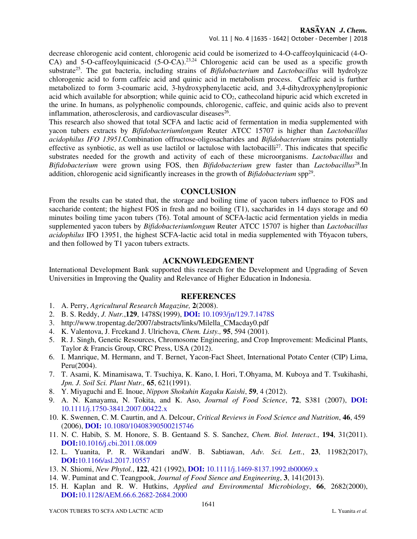Vol. 11 | No. 4 |1635 - 1642| October - December | 2018

decrease chlorogenic acid content, chlorogenic acid could be isomerized to 4-O-caffeoylquinicacid (4-O-CA) and 5-O-caffeoylquinicacid (5-O-CA).23,24 Chlorogenic acid can be used as a specific growth substrate<sup>25</sup>. The gut bacteria, including strains of *Bifidobacterium* and *Lactobacillus* will hydrolyze chlorogenic acid to form caffeic acid and quinic acid in metabolism process. Caffeic acid is further metabolized to form 3-coumaric acid, 3-hydroxyphenylacetic acid, and 3,4-dihydroxyphenylpropionic acid which available for absorption; while quinic acid to  $CO<sub>2</sub>$ , cathecoland hipuric acid which excreted in the urine. In humans, as polyphenolic compounds, chlorogenic, caffeic, and quinic acids also to prevent inflammation, atherosclerosis, and cardiovascular diseases $26$ .

This research also showed that total SCFA and lactic acid of fermentation in media supplemented with yacon tubers extracts by *Bifidobacteriumlongum* Reuter ATCC 15707 is higher than *Lactobacillus acidophilus IFO 13951.*Combination offructose-oligosacharides and *Bifidobacterium* strains potentially effective as synbiotic, as well as use lactilol or lactulose with lactobacilli<sup>27</sup>. This indicates that specific substrates needed for the growth and activity of each of these microorganisms. *Lactobacillus* and *Bifidobacterium* were grown using FOS, then *Bifidobacterium* grew faster than *Lactobacillus*<sup>28</sup>.In addition, chlorogenic acid significantly increases in the growth of *Bifidobacterium* spp<sup>29</sup>.

#### **CONCLUSION**

From the results can be stated that, the storage and boiling time of yacon tubers influence to FOS and saccharide content; the highest FOS in fresh and no boiling (T1), saccharides in 14 days storage and 60 minutes boiling time yacon tubers (T6). Total amount of SCFA-lactic acid fermentation yields in media supplemented yacon tubers by *Bifidobacteriumlongum* Reuter ATCC 15707 is higher than *Lactobacillus acidophilus* IFO 13951, the highest SCFA-lactic acid total in media supplemented with T6yacon tubers, and then followed by T1 yacon tubers extracts.

## **ACKNOWLEDGEMENT**

International Development Bank supported this research for the Development and Upgrading of Seven Universities in Improving the Quality and Relevance of Higher Education in Indonesia.

# **REFERENCES**

- 1. A. Perry, *Agricultural Research Magazine,* **2**(2008).
- 2. B. S. Reddy, *J. Nutr.*,**129**, 1478S(1999), **DOI:** 10.1093/jn/129.7.1478S
- 3. http://www.tropentag.de/2007/abstracts/links/Milella\_CMacday0.pdf
- 4. K. Valentova, J. Frcekand J. Ulrichova, *Chem. Listy.,* **95**, 594 (2001).
- 5. R. J. Singh, Genetic Resources, Chromosome Engineering, and Crop Improvement: Medicinal Plants, Taylor & Francis Group, CRC Press, USA (2012).
- 6. I. Manrique, M. Hermann, and T. Bernet, Yacon-Fact Sheet, International Potato Center (CIP) Lima, Peru(2004).
- 7. T. Asami, K. Minamisawa, T. Tsuchiya, K. Kano, I. Hori, T.Ohyama, M. Kuboya and T. Tsukihashi, *Jpn. J. Soil Sci. Plant Nutr.,* **65**, 621(1991).
- 8. Y. Miyaguchi and E. Inoue, *Nippon Shokuhin Kagaku Kaishi*, **59**, 4 (2012).
- 9. A. N. Kanayama, N. Tokita, and K. Aso, *Journal of Food Science*, **72**, S381 (2007), **DOI:**  10.1111/j.1750-3841.2007.00422.x
- 10. K. Swennen, C. M. Caurtin, and A. Delcour, *Critical Reviews in Food Science and Nutrition*, **46**, 459 (2006), **DOI:** 10.1080/10408390500215746
- 11. N. C. Habib, S. M. Honore, S. B. Gentaand S. S. Sanchez, *Chem. Biol. Interact.*, **194**, 31(2011). **DOI:**10.1016/j.cbi.2011.08.009
- 12. L. Yuanita, P. R. Wikandari andW. B. Sabtiawan, *Adv. Sci. Lett.*, **23**, 11982(2017), **DOI:**10.1166/asl.2017.10557
- 13. N. Shiomi, *New Phytol.*, **122**, 421 (1992), **DOI:** 10.1111/j.1469-8137.1992.tb00069.x
- 14. W. Puminat and C. Teangpook, *Journal of Food Sience and Engineering*, **3**, 141(2013).
- 15. H. Kaplan and R. W. Hutkins, *Applied and Environmental Microbiology*, **66**, 2682(2000), **DOI:**10.1128/AEM.66.6.2682-2684.2000